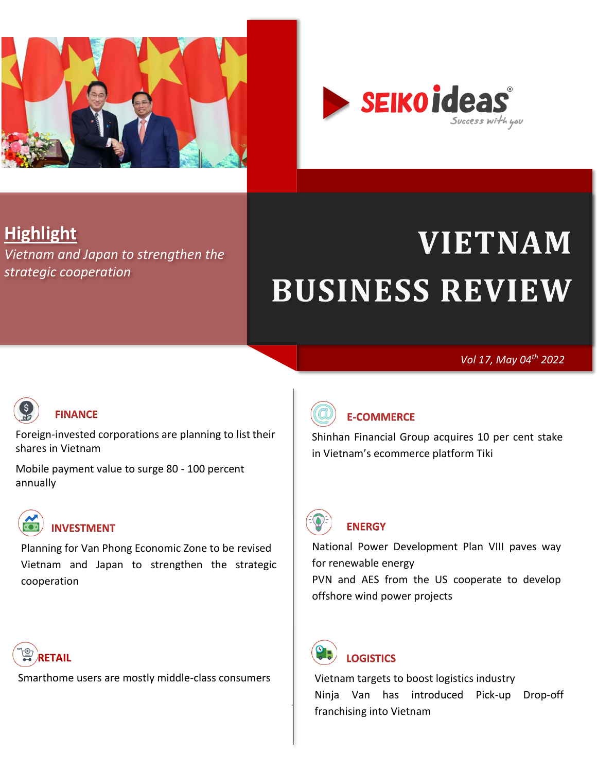

<span id="page-0-0"></span>

# **Highlight**

*[Vietnam and Japan to strengthen the](#page-15-0)  [strategic cooperation](#page-15-0)*

# **VIETNAM BUSINESS REVIEW**

*Vol 17, May 04th 2022*



#### **[FINANCE](#page-1-0)**

[Foreign-invested corporations are planning to list their](#page-1-1)  [shares in Vietnam](#page-1-1)

[Mobile payment value to surge 80 -](#page-3-0) 100 percent [annually](#page-3-0)



[Planning for Van Phong Economic Zone to be revised](#page-14-1) [Vietnam and Japan to strengthen the strategic](#page-15-0)  [cooperation](#page-15-0)



[Smarthome users are mostly middle-class consumers](#page-8-1)



## **[E-COMMERCE](#page-4-0)**

[Shinhan Financial Group acquires 10 per cent stake](#page-4-0)  [in Vietnam's ecommerce platform Tiki](#page-4-0)



## **[ENERGY](#page-5-0)**

[National Power Development Plan VIII paves way](#page-5-1)  [for renewable energy](#page-5-1) [PVN and AES from the US cooperate to develop](#page-7-0)  [offshore wind power projects](#page-7-0)



**[LOGISTICS](#page-10-0)** 

[franchising into Vietnam](#page-12-0) [Vietnam targets to boost logistics industry](#page-10-1) [Ninja Van has introduced Pick-up Drop-off](#page-12-0)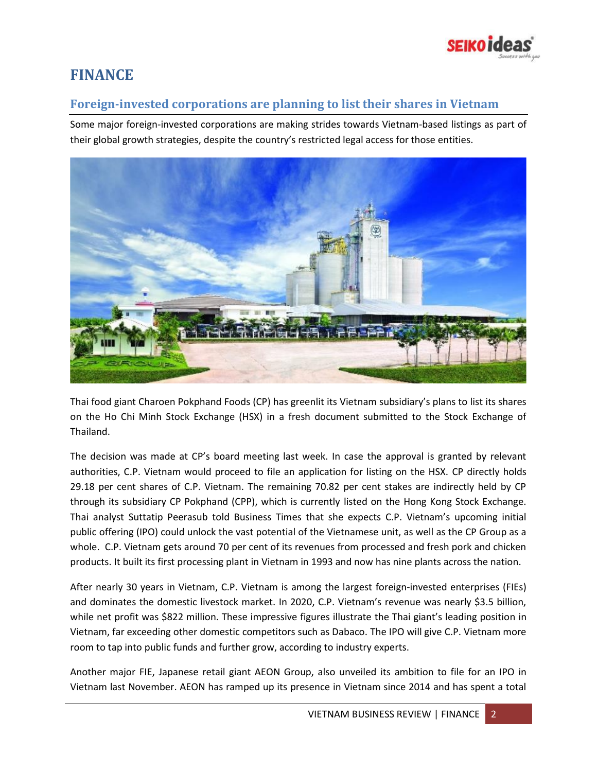

## <span id="page-1-0"></span>**FINANCE**

## <span id="page-1-1"></span>**Foreign-invested corporations are planning to list their shares in Vietnam**

Some major foreign-invested corporations are making strides towards Vietnam-based listings as part of their global growth strategies, despite the country's restricted legal access for those entities.



Thai food giant Charoen Pokphand Foods (CP) has greenlit its Vietnam subsidiary's plans to list its shares on the Ho Chi Minh Stock Exchange (HSX) in a fresh document submitted to the Stock Exchange of Thailand.

The decision was made at CP's board meeting last week. In case the approval is granted by relevant authorities, C.P. Vietnam would proceed to file an application for listing on the HSX. CP directly holds 29.18 per cent shares of C.P. Vietnam. The remaining 70.82 per cent stakes are indirectly held by CP through its subsidiary CP Pokphand (CPP), which is currently listed on the Hong Kong Stock Exchange. Thai analyst Suttatip Peerasub told Business Times that she expects C.P. Vietnam's upcoming initial public offering (IPO) could unlock the vast potential of the Vietnamese unit, as well as the CP Group as a whole. C.P. Vietnam gets around 70 per cent of its revenues from processed and fresh pork and chicken products. It built its first processing plant in Vietnam in 1993 and now has nine plants across the nation.

After nearly 30 years in Vietnam, C.P. Vietnam is among the largest foreign-invested enterprises (FIEs) and dominates the domestic livestock market. In 2020, C.P. Vietnam's revenue was nearly \$3.5 billion, while net profit was \$822 million. These impressive figures illustrate the Thai giant's leading position in Vietnam, far exceeding other domestic competitors such as Dabaco. The IPO will give C.P. Vietnam more room to tap into public funds and further grow, according to industry experts.

Another major FIE, Japanese retail giant AEON Group, also unveiled its ambition to file for an IPO in Vietnam last November. AEON has ramped up its presence in Vietnam since 2014 and has spent a total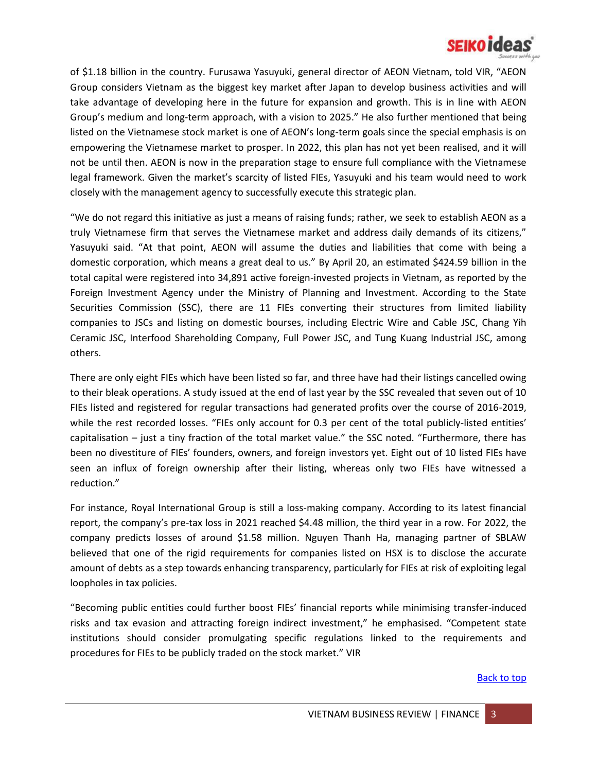

of \$1.18 billion in the country. Furusawa Yasuyuki, general director of AEON Vietnam, told VIR, "AEON Group considers Vietnam as the biggest key market after Japan to develop business activities and will take advantage of developing here in the future for expansion and growth. This is in line with AEON Group's medium and long-term approach, with a vision to 2025." He also further mentioned that being listed on the Vietnamese stock market is one of AEON's long-term goals since the special emphasis is on empowering the Vietnamese market to prosper. In 2022, this plan has not yet been realised, and it will not be until then. AEON is now in the preparation stage to ensure full compliance with the Vietnamese legal framework. Given the market's scarcity of listed FIEs, Yasuyuki and his team would need to work closely with the management agency to successfully execute this strategic plan.

"We do not regard this initiative as just a means of raising funds; rather, we seek to establish AEON as a truly Vietnamese firm that serves the Vietnamese market and address daily demands of its citizens," Yasuyuki said. "At that point, AEON will assume the duties and liabilities that come with being a domestic corporation, which means a great deal to us." By April 20, an estimated \$424.59 billion in the total capital were registered into 34,891 active foreign-invested projects in Vietnam, as reported by the Foreign Investment Agency under the Ministry of Planning and Investment. According to the State Securities Commission (SSC), there are 11 FIEs converting their structures from limited liability companies to JSCs and listing on domestic bourses, including Electric Wire and Cable JSC, Chang Yih Ceramic JSC, Interfood Shareholding Company, Full Power JSC, and Tung Kuang Industrial JSC, among others.

There are only eight FIEs which have been listed so far, and three have had their listings cancelled owing to their bleak operations. A study issued at the end of last year by the SSC revealed that seven out of 10 FIEs listed and registered for regular transactions had generated profits over the course of 2016-2019, while the rest recorded losses. "FIEs only account for 0.3 per cent of the total publicly-listed entities' capitalisation – just a tiny fraction of the total market value." the SSC noted. "Furthermore, there has been no divestiture of FIEs' founders, owners, and foreign investors yet. Eight out of 10 listed FIEs have seen an influx of foreign ownership after their listing, whereas only two FIEs have witnessed a reduction."

For instance, Royal International Group is still a loss-making company. According to its latest financial report, the company's pre-tax loss in 2021 reached \$4.48 million, the third year in a row. For 2022, the company predicts losses of around \$1.58 million. Nguyen Thanh Ha, managing partner of SBLAW believed that one of the rigid requirements for companies listed on HSX is to disclose the accurate amount of debts as a step towards enhancing transparency, particularly for FIEs at risk of exploiting legal loopholes in tax policies.

"Becoming public entities could further boost FIEs' financial reports while minimising transfer-induced risks and tax evasion and attracting foreign indirect investment," he emphasised. "Competent state institutions should consider promulgating specific regulations linked to the requirements and procedures for FIEs to be publicly traded on the stock market." VIR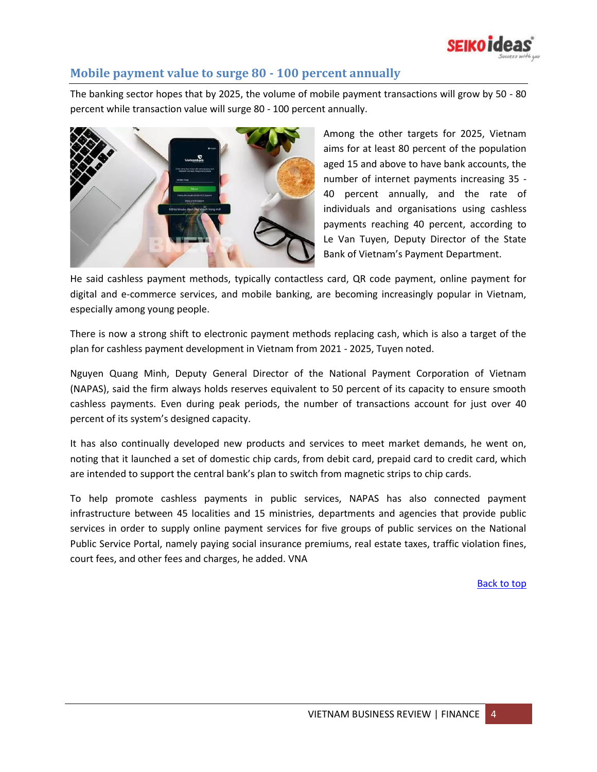

#### <span id="page-3-0"></span>**Mobile payment value to surge 80 - 100 percent annually**

The banking sector hopes that by 2025, the volume of mobile payment transactions will grow by 50 - 80 percent while transaction value will surge 80 - 100 percent annually.



Among the other targets for 2025, Vietnam aims for at least 80 percent of the population aged 15 and above to have bank accounts, the number of internet payments increasing 35 - 40 percent annually, and the rate of individuals and organisations using cashless payments reaching 40 percent, according to Le Van Tuyen, Deputy Director of the State Bank of Vietnam's Payment Department.

He said cashless payment methods, typically contactless card, QR code payment, online payment for digital and e-commerce services, and mobile banking, are becoming increasingly popular in Vietnam, especially among young people.

There is now a strong shift to electronic payment methods replacing cash, which is also a target of the plan for cashless payment development in Vietnam from 2021 - 2025, Tuyen noted.

Nguyen Quang Minh, Deputy General Director of the National Payment Corporation of Vietnam (NAPAS), said the firm always holds reserves equivalent to 50 percent of its capacity to ensure smooth cashless payments. Even during peak periods, the number of transactions account for just over 40 percent of its system's designed capacity.

It has also continually developed new products and services to meet market demands, he went on, noting that it launched a set of domestic chip cards, from debit card, prepaid card to credit card, which are intended to support the central bank's plan to switch from magnetic strips to chip cards.

To help promote cashless payments in public services, NAPAS has also connected payment infrastructure between 45 localities and 15 ministries, departments and agencies that provide public services in order to supply online payment services for five groups of public services on the National Public Service Portal, namely paying social insurance premiums, real estate taxes, traffic violation fines, court fees, and other fees and charges, he added. VNA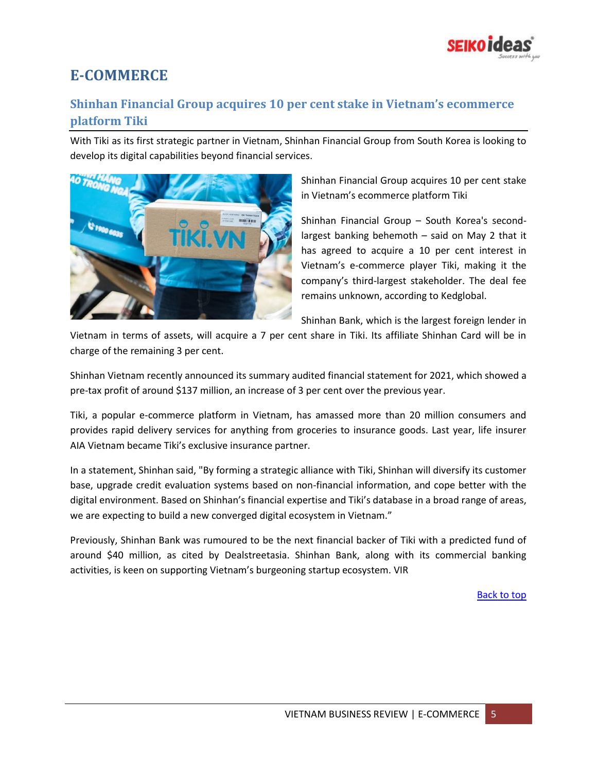

# <span id="page-4-0"></span>**E-COMMERCE**

## **Shinhan Financial Group acquires 10 per cent stake in Vietnam's ecommerce platform Tiki**

With Tiki as its first strategic partner in Vietnam, Shinhan Financial Group from South Korea is looking to develop its digital capabilities beyond financial services.



Shinhan Financial Group acquires 10 per cent stake in Vietnam's ecommerce platform Tiki

Shinhan Financial Group – South Korea's secondlargest banking behemoth – said on May 2 that it has agreed to acquire a 10 per cent interest in Vietnam's e-commerce player Tiki, making it the company's third-largest stakeholder. The deal fee remains unknown, according to Kedglobal.

Shinhan Bank, which is the largest foreign lender in

Vietnam in terms of assets, will acquire a 7 per cent share in Tiki. Its affiliate Shinhan Card will be in charge of the remaining 3 per cent.

Shinhan Vietnam recently announced its summary audited financial statement for 2021, which showed a pre-tax profit of around \$137 million, an increase of 3 per cent over the previous year.

Tiki, a popular e-commerce platform in Vietnam, has amassed more than 20 million consumers and provides rapid delivery services for anything from groceries to insurance goods. Last year, life insurer AIA Vietnam became Tiki's exclusive insurance partner.

In a statement, Shinhan said, "By forming a strategic alliance with Tiki, Shinhan will diversify its customer base, upgrade credit evaluation systems based on non-financial information, and cope better with the digital environment. Based on Shinhan's financial expertise and Tiki's database in a broad range of areas, we are expecting to build a new converged digital ecosystem in Vietnam."

Previously, Shinhan Bank was rumoured to be the next financial backer of Tiki with a predicted fund of around \$40 million, as cited by Dealstreetasia. Shinhan Bank, along with its commercial banking activities, is keen on supporting Vietnam's burgeoning startup ecosystem. VIR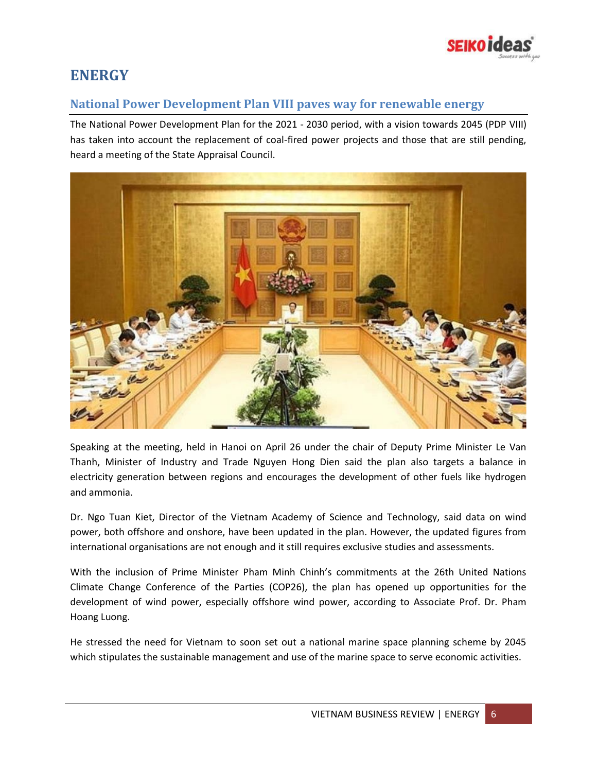

## <span id="page-5-0"></span>**ENERGY**

#### <span id="page-5-1"></span>**National Power Development Plan VIII paves way for renewable energy**

The National Power Development Plan for the 2021 - 2030 period, with a vision towards 2045 (PDP VIII) has taken into account the replacement of coal-fired power projects and those that are still pending, heard a meeting of the State Appraisal Council.



Speaking at the meeting, held in Hanoi on April 26 under the chair of Deputy Prime Minister Le Van Thanh, Minister of Industry and Trade Nguyen Hong Dien said the plan also targets a balance in electricity generation between regions and encourages the development of other fuels like hydrogen and ammonia.

Dr. Ngo Tuan Kiet, Director of the Vietnam Academy of Science and Technology, said data on wind power, both offshore and onshore, have been updated in the plan. However, the updated figures from international organisations are not enough and it still requires exclusive studies and assessments.

With the inclusion of Prime Minister Pham Minh Chinh's commitments at the 26th United Nations Climate Change Conference of the Parties (COP26), the plan has opened up opportunities for the development of wind power, especially offshore wind power, according to Associate Prof. Dr. Pham Hoang Luong.

He stressed the need for Vietnam to soon set out a national marine space planning scheme by 2045 which stipulates the sustainable management and use of the marine space to serve economic activities.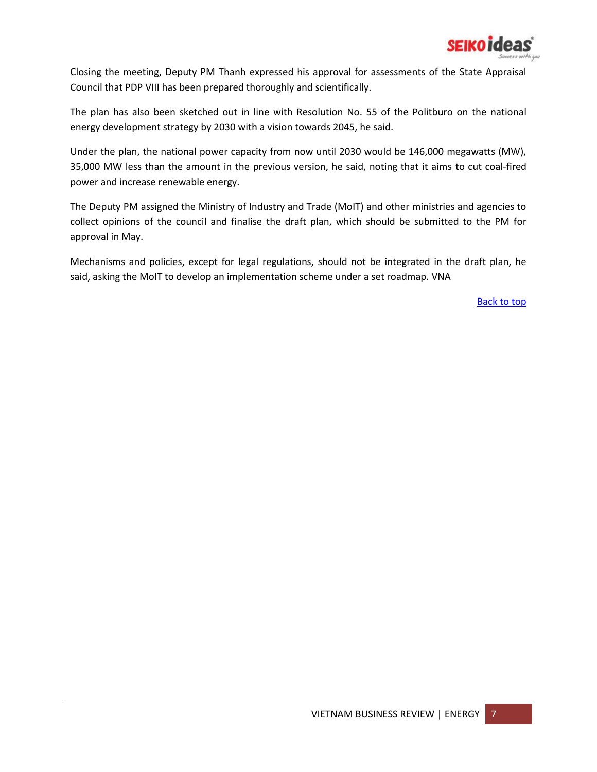

Closing the meeting, Deputy PM Thanh expressed his approval for assessments of the State Appraisal Council that PDP VIII has been prepared thoroughly and scientifically.

The plan has also been sketched out in line with Resolution No. 55 of the Politburo on the national energy development strategy by 2030 with a vision towards 2045, he said.

Under the plan, the national power capacity from now until 2030 would be 146,000 megawatts (MW), 35,000 MW less than the amount in the previous version, he said, noting that it aims to cut coal-fired power and increase renewable energy.

The Deputy PM assigned the Ministry of Industry and Trade (MoIT) and other ministries and agencies to collect opinions of the council and finalise the draft plan, which should be submitted to the PM for approval in May.

Mechanisms and policies, except for legal regulations, should not be integrated in the draft plan, he said, asking the MoIT to develop an implementation scheme under a set roadmap. VNA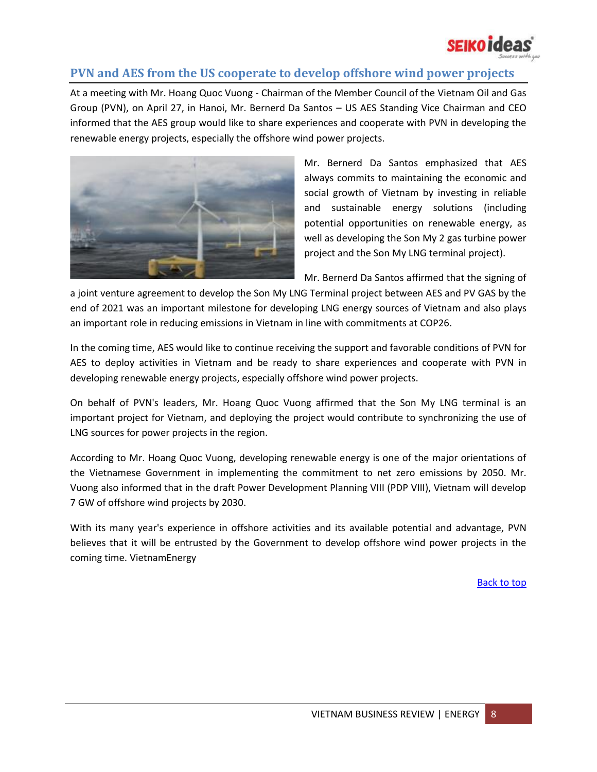

## <span id="page-7-0"></span>**PVN and AES from the US cooperate to develop offshore wind power projects**

At a meeting with Mr. Hoang Quoc Vuong - Chairman of the Member Council of the Vietnam Oil and Gas Group (PVN), on April 27, in Hanoi, Mr. Bernerd Da Santos – US AES Standing Vice Chairman and CEO informed that the AES group would like to share experiences and cooperate with PVN in developing the renewable energy projects, especially the offshore wind power projects.



Mr. Bernerd Da Santos emphasized that AES always commits to maintaining the economic and social growth of Vietnam by investing in reliable and sustainable energy solutions (including potential opportunities on renewable energy, as well as developing the Son My 2 gas turbine power project and the Son My LNG terminal project).

Mr. Bernerd Da Santos affirmed that the signing of

a joint venture agreement to develop the Son My LNG Terminal project between AES and PV GAS by the end of 2021 was an important milestone for developing LNG energy sources of Vietnam and also plays an important role in reducing emissions in Vietnam in line with commitments at COP26.

In the coming time, AES would like to continue receiving the support and favorable conditions of PVN for AES to deploy activities in Vietnam and be ready to share experiences and cooperate with PVN in developing renewable energy projects, especially offshore wind power projects.

On behalf of PVN's leaders, Mr. Hoang Quoc Vuong affirmed that the Son My LNG terminal is an important project for Vietnam, and deploying the project would contribute to synchronizing the use of LNG sources for power projects in the region.

According to Mr. Hoang Quoc Vuong, developing renewable energy is one of the major orientations of the Vietnamese Government in implementing the commitment to net zero emissions by 2050. Mr. Vuong also informed that in the draft Power Development Planning VIII (PDP VIII), Vietnam will develop 7 GW of offshore wind projects by 2030.

With its many year's experience in offshore activities and its available potential and advantage, PVN believes that it will be entrusted by the Government to develop offshore wind power projects in the coming time. VietnamEnergy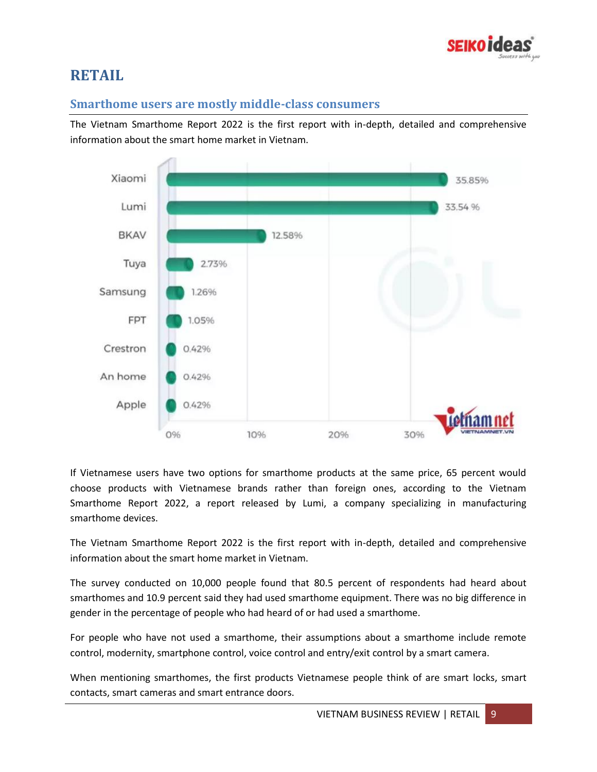

# <span id="page-8-0"></span>**RETAIL**

#### <span id="page-8-1"></span>**Smarthome users are mostly middle-class consumers**

The Vietnam Smarthome Report 2022 is the first report with in-depth, detailed and comprehensive information about the smart home market in Vietnam.



If Vietnamese users have two options for smarthome products at the same price, 65 percent would choose products with Vietnamese brands rather than foreign ones, according to the Vietnam Smarthome Report 2022, a report released by Lumi, a company specializing in manufacturing smarthome devices.

The Vietnam Smarthome Report 2022 is the first report with in-depth, detailed and comprehensive information about the smart home market in Vietnam.

The survey conducted on 10,000 people found that 80.5 percent of respondents had heard about smarthomes and 10.9 percent said they had used smarthome equipment. There was no big difference in gender in the percentage of people who had heard of or had used a smarthome.

For people who have not used a smarthome, their assumptions about a smarthome include remote control, modernity, smartphone control, voice control and entry/exit control by a smart camera.

When mentioning smarthomes, the first products Vietnamese people think of are smart locks, smart contacts, smart cameras and smart entrance doors.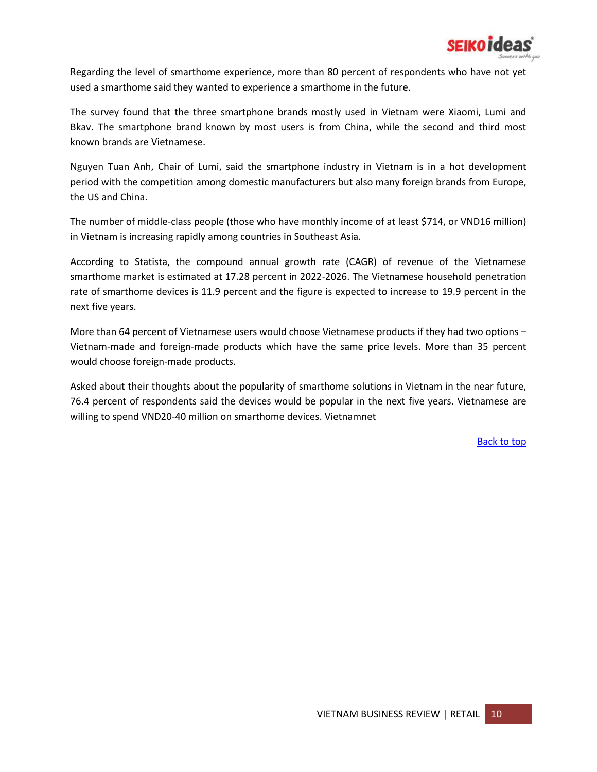

Regarding the level of smarthome experience, more than 80 percent of respondents who have not yet used a smarthome said they wanted to experience a smarthome in the future.

The survey found that the three smartphone brands mostly used in Vietnam were Xiaomi, Lumi and Bkav. The smartphone brand known by most users is from China, while the second and third most known brands are Vietnamese.

Nguyen Tuan Anh, Chair of Lumi, said the smartphone industry in Vietnam is in a hot development period with the competition among domestic manufacturers but also many foreign brands from Europe, the US and China.

The number of middle-class people (those who have monthly income of at least \$714, or VND16 million) in Vietnam is increasing rapidly among countries in Southeast Asia.

According to Statista, the compound annual growth rate (CAGR) of revenue of the Vietnamese smarthome market is estimated at 17.28 percent in 2022-2026. The Vietnamese household penetration rate of smarthome devices is 11.9 percent and the figure is expected to increase to 19.9 percent in the next five years.

More than 64 percent of Vietnamese users would choose Vietnamese products if they had two options – Vietnam-made and foreign-made products which have the same price levels. More than 35 percent would choose foreign-made products.

Asked about their thoughts about the popularity of smarthome solutions in Vietnam in the near future, 76.4 percent of respondents said the devices would be popular in the next five years. Vietnamese are willing to spend VND20-40 million on smarthome devices. Vietnamnet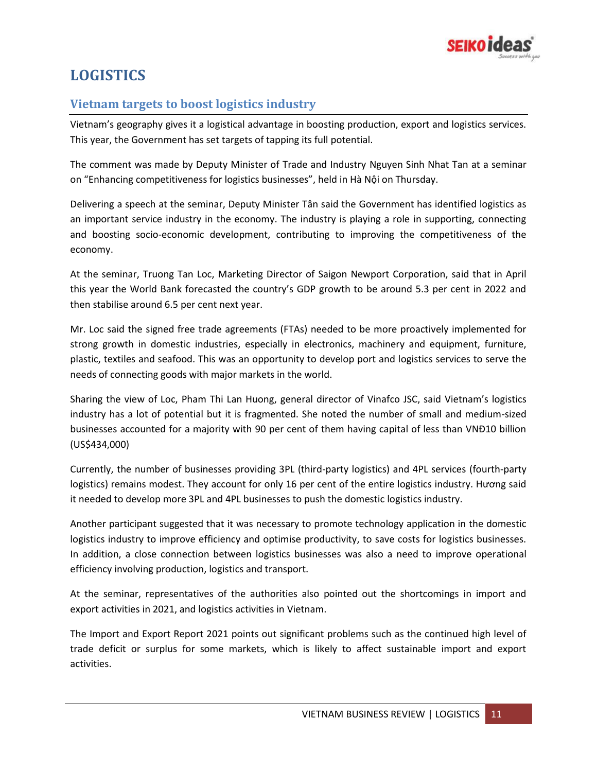

# <span id="page-10-0"></span>**LOGISTICS**

## <span id="page-10-1"></span>**Vietnam targets to boost logistics industry**

Vietnam's geography gives it a logistical advantage in boosting production, export and logistics services. This year, the Government has set targets of tapping its full potential.

The comment was made by Deputy Minister of Trade and Industry Nguyen Sinh Nhat Tan at a seminar on "Enhancing competitiveness for logistics businesses", held in Hà Nội on Thursday.

Delivering a speech at the seminar, Deputy Minister Tân said the Government has identified logistics as an important service industry in the economy. The industry is playing a role in supporting, connecting and boosting socio-economic development, contributing to improving the competitiveness of the economy.

At the seminar, Truong Tan Loc, Marketing Director of Saigon Newport Corporation, said that in April this year the World Bank forecasted the country's GDP growth to be around 5.3 per cent in 2022 and then stabilise around 6.5 per cent next year.

Mr. Loc said the signed free trade agreements (FTAs) needed to be more proactively implemented for strong growth in domestic industries, especially in electronics, machinery and equipment, furniture, plastic, textiles and seafood. This was an opportunity to develop port and logistics services to serve the needs of connecting goods with major markets in the world.

Sharing the view of Loc, Pham Thi Lan Huong, general director of Vinafco JSC, said Vietnam's logistics industry has a lot of potential but it is fragmented. She noted the number of small and medium-sized businesses accounted for a majority with 90 per cent of them having capital of less than VNĐ10 billion (US\$434,000)

Currently, the number of businesses providing 3PL (third-party logistics) and 4PL services (fourth-party logistics) remains modest. They account for only 16 per cent of the entire logistics industry. Hương said it needed to develop more 3PL and 4PL businesses to push the domestic logistics industry.

Another participant suggested that it was necessary to promote technology application in the domestic logistics industry to improve efficiency and optimise productivity, to save costs for logistics businesses. In addition, a close connection between logistics businesses was also a need to improve operational efficiency involving production, logistics and transport.

At the seminar, representatives of the authorities also pointed out the shortcomings in import and export activities in 2021, and logistics activities in Vietnam.

The Import and Export Report 2021 points out significant problems such as the continued high level of trade deficit or surplus for some markets, which is likely to affect sustainable import and export activities.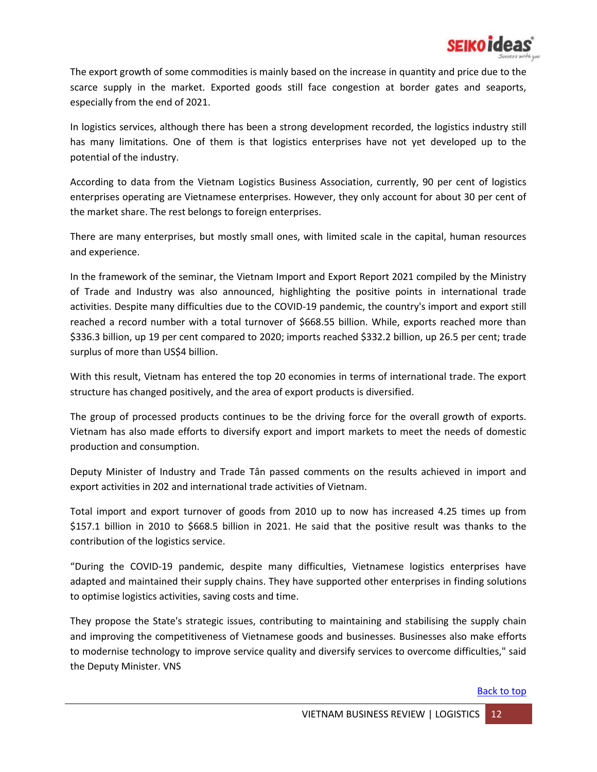

The export growth of some commodities is mainly based on the increase in quantity and price due to the scarce supply in the market. Exported goods still face congestion at border gates and seaports, especially from the end of 2021.

In logistics services, although there has been a strong development recorded, the logistics industry still has many limitations. One of them is that logistics enterprises have not yet developed up to the potential of the industry.

According to data from the Vietnam Logistics Business Association, currently, 90 per cent of logistics enterprises operating are Vietnamese enterprises. However, they only account for about 30 per cent of the market share. The rest belongs to foreign enterprises.

There are many enterprises, but mostly small ones, with limited scale in the capital, human resources and experience.

In the framework of the seminar, the Vietnam Import and Export Report 2021 compiled by the Ministry of Trade and Industry was also announced, highlighting the positive points in international trade activities. Despite many difficulties due to the COVID-19 pandemic, the country's import and export still reached a record number with a total turnover of \$668.55 billion. While, exports reached more than \$336.3 billion, up 19 per cent compared to 2020; imports reached \$332.2 billion, up 26.5 per cent; trade surplus of more than US\$4 billion.

With this result, Vietnam has entered the top 20 economies in terms of international trade. The export structure has changed positively, and the area of export products is diversified.

The group of processed products continues to be the driving force for the overall growth of exports. Vietnam has also made efforts to diversify export and import markets to meet the needs of domestic production and consumption.

Deputy Minister of Industry and Trade Tân passed comments on the results achieved in import and export activities in 202 and international trade activities of Vietnam.

Total import and export turnover of goods from 2010 up to now has increased 4.25 times up from \$157.1 billion in 2010 to \$668.5 billion in 2021. He said that the positive result was thanks to the contribution of the logistics service.

"During the COVID-19 pandemic, despite many difficulties, Vietnamese logistics enterprises have adapted and maintained their supply chains. They have supported other enterprises in finding solutions to optimise logistics activities, saving costs and time.

They propose the State's strategic issues, contributing to maintaining and stabilising the supply chain and improving the competitiveness of Vietnamese goods and businesses. Businesses also make efforts to modernise technology to improve service quality and diversify services to overcome difficulties," said the Deputy Minister. VNS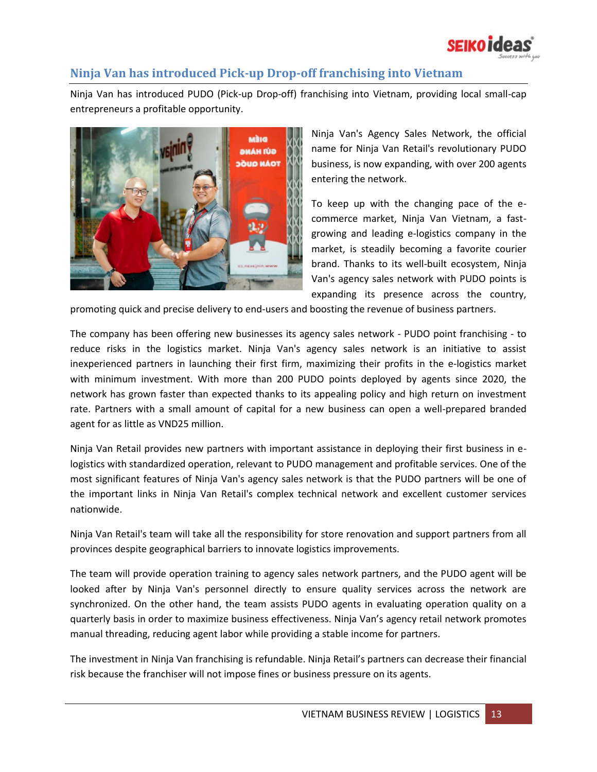

## <span id="page-12-0"></span>**Ninja Van has introduced Pick-up Drop-off franchising into Vietnam**

Ninja Van has introduced PUDO (Pick-up Drop-off) franchising into Vietnam, providing local small-cap entrepreneurs a profitable opportunity.



Ninja Van's Agency Sales Network, the official name for Ninja Van Retail's revolutionary PUDO business, is now expanding, with over 200 agents entering the network.

To keep up with the changing pace of the ecommerce market, Ninja Van Vietnam, a fastgrowing and leading e-logistics company in the market, is steadily becoming a favorite courier brand. Thanks to its well-built ecosystem, Ninja Van's agency sales network with PUDO points is expanding its presence across the country,

promoting quick and precise delivery to end-users and boosting the revenue of business partners.

The company has been offering new businesses its agency sales network - PUDO point franchising - to reduce risks in the logistics market. Ninja Van's agency sales network is an initiative to assist inexperienced partners in launching their first firm, maximizing their profits in the e-logistics market with minimum investment. With more than 200 PUDO points deployed by agents since 2020, the network has grown faster than expected thanks to its appealing policy and high return on investment rate. Partners with a small amount of capital for a new business can open a well-prepared branded agent for as little as VND25 million.

Ninja Van Retail provides new partners with important assistance in deploying their first business in elogistics with standardized operation, relevant to PUDO management and profitable services. One of the most significant features of Ninja Van's agency sales network is that the PUDO partners will be one of the important links in Ninja Van Retail's complex technical network and excellent customer services nationwide.

Ninja Van Retail's team will take all the responsibility for store renovation and support partners from all provinces despite geographical barriers to innovate logistics improvements.

The team will provide operation training to agency sales network partners, and the PUDO agent will be looked after by Ninja Van's personnel directly to ensure quality services across the network are synchronized. On the other hand, the team assists PUDO agents in evaluating operation quality on a quarterly basis in order to maximize business effectiveness. Ninja Van's agency retail network promotes manual threading, reducing agent labor while providing a stable income for partners.

The investment in Ninja Van franchising is refundable. Ninja Retail's partners can decrease their financial risk because the franchiser will not impose fines or business pressure on its agents.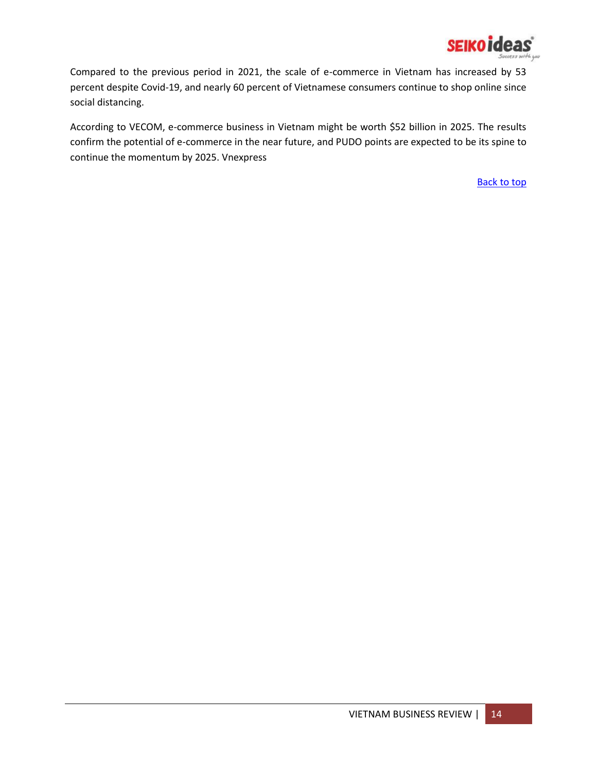

Compared to the previous period in 2021, the scale of e-commerce in Vietnam has increased by 53 percent despite Covid-19, and nearly 60 percent of Vietnamese consumers continue to shop online since social distancing.

According to VECOM, e-commerce business in Vietnam might be worth \$52 billion in 2025. The results confirm the potential of e-commerce in the near future, and PUDO points are expected to be its spine to continue the momentum by 2025. Vnexpress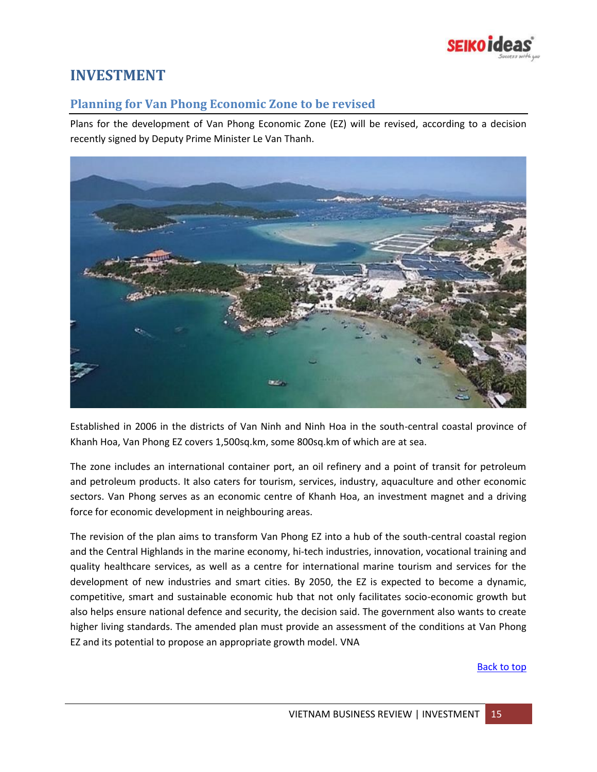

## <span id="page-14-0"></span>**INVESTMENT**

## <span id="page-14-1"></span>**Planning for Van Phong Economic Zone to be revised**

Plans for the development of Van Phong Economic Zone (EZ) will be revised, according to a decision recently signed by Deputy Prime Minister Le Van Thanh.



Established in 2006 in the districts of Van Ninh and Ninh Hoa in the south-central coastal province of Khanh Hoa, Van Phong EZ covers 1,500sq.km, some 800sq.km of which are at sea.

The zone includes an international container port, an oil refinery and a point of transit for petroleum and petroleum products. It also caters for tourism, services, industry, aquaculture and other economic sectors. Van Phong serves as an economic centre of Khanh Hoa, an investment magnet and a driving force for economic development in neighbouring areas.

The revision of the plan aims to transform Van Phong EZ into a hub of the south-central coastal region and the Central Highlands in the marine economy, hi-tech industries, innovation, vocational training and quality healthcare services, as well as a centre for international marine tourism and services for the development of new industries and smart cities. By 2050, the EZ is expected to become a dynamic, competitive, smart and sustainable economic hub that not only facilitates socio-economic growth but also helps ensure national defence and security, the decision said. The government also wants to create higher living standards. The amended plan must provide an assessment of the conditions at Van Phong EZ and its potential to propose an appropriate growth model. VNA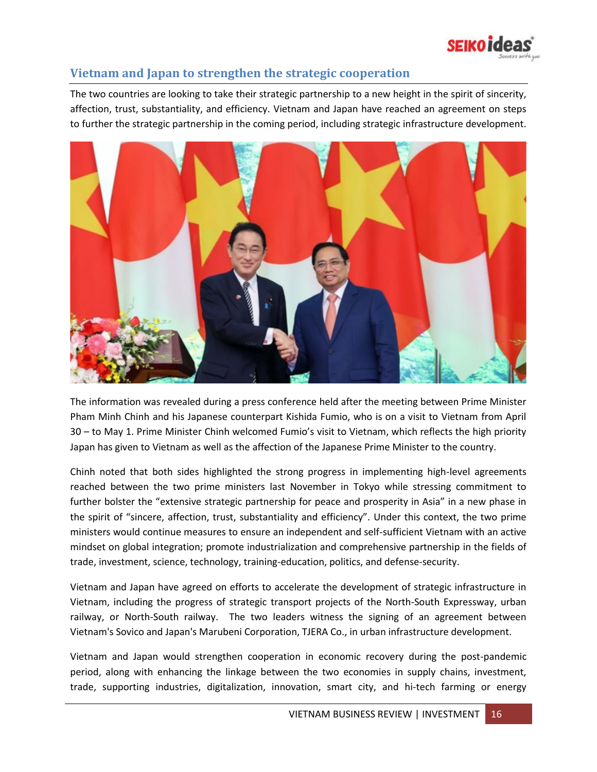

## <span id="page-15-0"></span>**Vietnam and Japan to strengthen the strategic cooperation**

The two countries are looking to take their strategic partnership to a new height in the spirit of sincerity, affection, trust, substantiality, and efficiency. Vietnam and Japan have reached an agreement on steps to further the strategic partnership in the coming period, including strategic infrastructure development.



The information was revealed during a press conference held after the meeting between Prime Minister Pham Minh Chinh and his Japanese counterpart Kishida Fumio, who is on a visit to Vietnam from April 30 – to May 1. Prime Minister Chinh welcomed Fumio's visit to Vietnam, which reflects the high priority Japan has given to Vietnam as well as the affection of the Japanese Prime Minister to the country.

Chinh noted that both sides highlighted the strong progress in implementing high-level agreements reached between the two prime ministers last November in Tokyo while stressing commitment to further bolster the "extensive strategic partnership for peace and prosperity in Asia" in a new phase in the spirit of "sincere, affection, trust, substantiality and efficiency". Under this context, the two prime ministers would continue measures to ensure an independent and self-sufficient Vietnam with an active mindset on global integration; promote industrialization and comprehensive partnership in the fields of trade, investment, science, technology, training-education, politics, and defense-security.

Vietnam and Japan have agreed on efforts to accelerate the development of strategic infrastructure in Vietnam, including the progress of strategic transport projects of the North-South Expressway, urban railway, or North-South railway. The two leaders witness the signing of an agreement between Vietnam's Sovico and Japan's Marubeni Corporation, TJERA Co., in urban infrastructure development.

Vietnam and Japan would strengthen cooperation in economic recovery during the post-pandemic period, along with enhancing the linkage between the two economies in supply chains, investment, trade, supporting industries, digitalization, innovation, smart city, and hi-tech farming or energy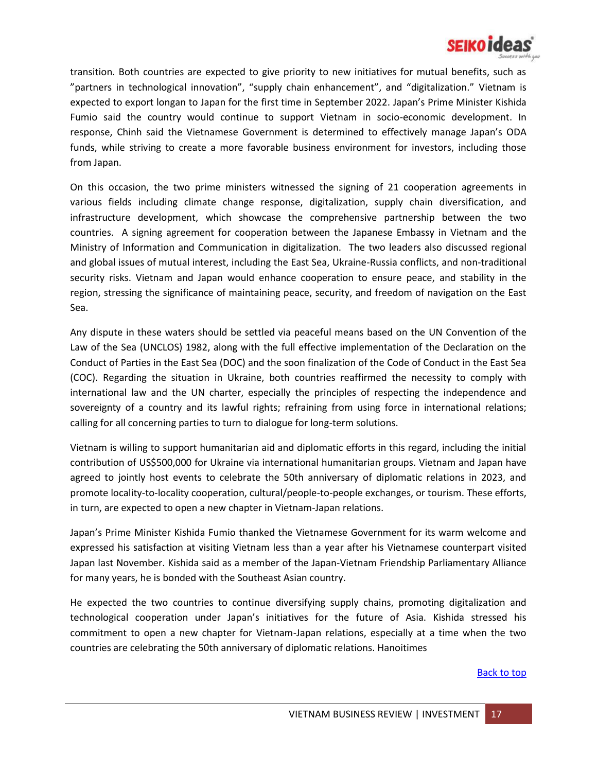

transition. Both countries are expected to give priority to new initiatives for mutual benefits, such as "partners in technological innovation", "supply chain enhancement", and "digitalization." Vietnam is expected to export longan to Japan for the first time in September 2022. Japan's Prime Minister Kishida Fumio said the country would continue to support Vietnam in socio-economic development. In response, Chinh said the Vietnamese Government is determined to effectively manage Japan's ODA funds, while striving to create a more favorable business environment for investors, including those from Japan.

On this occasion, the two prime ministers witnessed the signing of 21 cooperation agreements in various fields including climate change response, digitalization, supply chain diversification, and infrastructure development, which showcase the comprehensive partnership between the two countries. A signing agreement for cooperation between the Japanese Embassy in Vietnam and the Ministry of Information and Communication in digitalization. The two leaders also discussed regional and global issues of mutual interest, including the East Sea, Ukraine-Russia conflicts, and non-traditional security risks. Vietnam and Japan would enhance cooperation to ensure peace, and stability in the region, stressing the significance of maintaining peace, security, and freedom of navigation on the East Sea.

Any dispute in these waters should be settled via peaceful means based on the UN Convention of the Law of the Sea (UNCLOS) 1982, along with the full effective implementation of the Declaration on the Conduct of Parties in the East Sea (DOC) and the soon finalization of the Code of Conduct in the East Sea (COC). Regarding the situation in Ukraine, both countries reaffirmed the necessity to comply with international law and the UN charter, especially the principles of respecting the independence and sovereignty of a country and its lawful rights; refraining from using force in international relations; calling for all concerning parties to turn to dialogue for long-term solutions.

Vietnam is willing to support humanitarian aid and diplomatic efforts in this regard, including the initial contribution of US\$500,000 for Ukraine via international humanitarian groups. Vietnam and Japan have agreed to jointly host events to celebrate the 50th anniversary of diplomatic relations in 2023, and promote locality-to-locality cooperation, cultural/people-to-people exchanges, or tourism. These efforts, in turn, are expected to open a new chapter in Vietnam-Japan relations.

Japan's Prime Minister Kishida Fumio thanked the Vietnamese Government for its warm welcome and expressed his satisfaction at visiting Vietnam less than a year after his Vietnamese counterpart visited Japan last November. Kishida said as a member of the Japan-Vietnam Friendship Parliamentary Alliance for many years, he is bonded with the Southeast Asian country.

He expected the two countries to continue diversifying supply chains, promoting digitalization and technological cooperation under Japan's initiatives for the future of Asia. Kishida stressed his commitment to open a new chapter for Vietnam-Japan relations, especially at a time when the two countries are celebrating the 50th anniversary of diplomatic relations. Hanoitimes